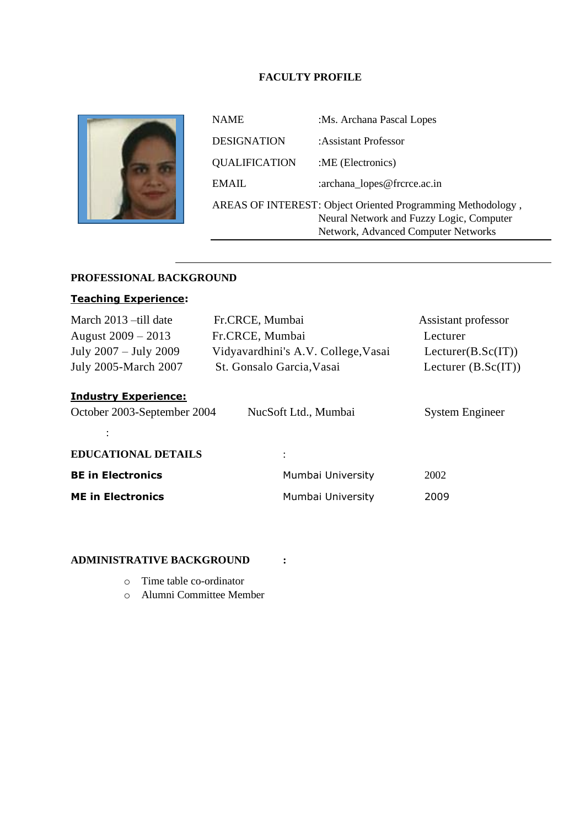## **FACULTY PROFILE**



| <b>NAME</b>                                                                                                                                    | :Ms. Archana Pascal Lopes   |  |
|------------------------------------------------------------------------------------------------------------------------------------------------|-----------------------------|--|
| <b>DESIGNATION</b>                                                                                                                             | : Assistant Professor       |  |
| <b>QUALIFICATION</b>                                                                                                                           | :ME (Electronics)           |  |
| EMAIL                                                                                                                                          | :archana_lopes@frcrce.ac.in |  |
| AREAS OF INTEREST: Object Oriented Programming Methodology,<br>Neural Network and Fuzzy Logic, Computer<br>Network, Advanced Computer Networks |                             |  |

# **PROFESSIONAL BACKGROUND**

# **Teaching Experience:**

| March 2013 - till date                                                                                                         | Fr.CRCE, Mumbai                     | Assistant professor   |  |
|--------------------------------------------------------------------------------------------------------------------------------|-------------------------------------|-----------------------|--|
| August $2009 - 2013$                                                                                                           | Fr.CRCE, Mumbai                     | Lecturer              |  |
| July 2007 - July 2009                                                                                                          | Vidyavardhini's A.V. College, Vasai | Lecturer(B.Sc(IT))    |  |
| July 2005-March 2007                                                                                                           | St. Gonsalo Garcia, Vasai           | Lecturer $(B.Sc(IT))$ |  |
| <b>Industry Experience:</b><br>October 2003-September 2004<br>NucSoft Ltd., Mumbai<br><b>System Engineer</b><br>$\ddot{\cdot}$ |                                     |                       |  |
| <b>EDUCATIONAL DETAILS</b>                                                                                                     | $\ddot{\cdot}$                      |                       |  |
| <b>BE in Electronics</b>                                                                                                       | Mumbai University                   | 2002                  |  |
| <b>ME in Electronics</b>                                                                                                       | Mumbai University                   | 2009                  |  |

# **ADMINISTRATIVE BACKGROUND :**

- o Time table co-ordinator
- o Alumni Committee Member